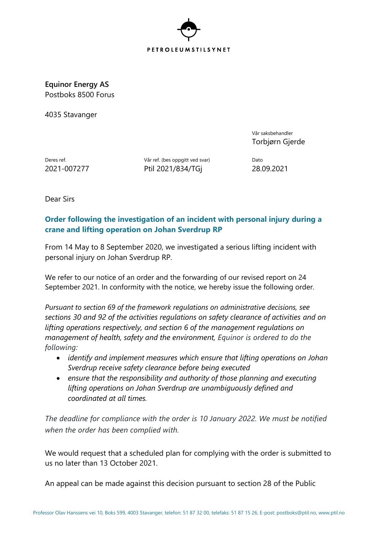

**Equinor Energy AS** Postboks 8500 Forus

4035 Stavanger

Vår saksbehandler Torbjørn Gjerde

Deres ref. **Deres ref.** (bes oppgitt ved svar) Dato 2021-007277 Ptil 2021/834/TGj 28.09.2021

Dear Sirs

## **Order following the investigation of an incident with personal injury during a crane and lifting operation on Johan Sverdrup RP**

From 14 May to 8 September 2020, we investigated a serious lifting incident with personal injury on Johan Sverdrup RP.

We refer to our notice of an order and the forwarding of our revised report on 24 September 2021. In conformity with the notice, we hereby issue the following order.

*Pursuant to section 69 of the framework regulations on administrative decisions, see sections 30 and 92 of the activities regulations on safety clearance of activities and on lifting operations respectively, and section 6 of the management regulations on management of health, safety and the environment, Equinor is ordered to do the following:*

- *identify and implement measures which ensure that lifting operations on Johan Sverdrup receive safety clearance before being executed*
- *ensure that the responsibility and authority of those planning and executing lifting operations on Johan Sverdrup are unambiguously defined and coordinated at all times.*

*The deadline for compliance with the order is 10 January 2022. We must be notified when the order has been complied with.*

We would request that a scheduled plan for complying with the order is submitted to us no later than 13 October 2021.

An appeal can be made against this decision pursuant to section 28 of the Public